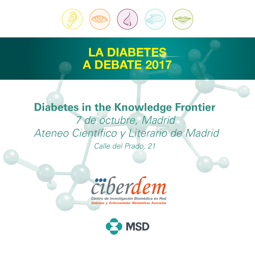

# LA DIABETES A DEBATE 2017

# **Diabetes in the Knowledge Frontier** *7 de octubre, Madrid Ateneo Científico y Literario de Madrid Calle del Prado, 21*



Centro de Investigación Biomédica en Red Diabetes y Enfermedades Metabólicas Asociadas

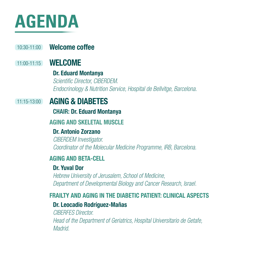# **AGENDA**

## 10:30-11:00 **Welcome coffee**

## 11:00-11:15 **WELCOME**

## Dr. Eduard Montanya

*Scientific Director, CIBERDEM. Endocrinology & Nutrition Service, Hospital de Bellvitge, Barcelona.*

#### 11:15-13:00 AGING & DIABETES

#### CHAIR: Dr. Eduard Montanya

## AGING AND SKELETAL MUSCLE

## Dr. Antonio Zorzano

*CIBERDEM Investigator. Coordinator of the Molecular Medicine Programme, IRB, Barcelona.*

## AGING AND BETA-CELL

## Dr. Yuval Dor

*Hebrew University of Jerusalem, School of Medicine, Department of Developmental Biology and Cancer Research, Israel.*

## FRAILTY AND AGING IN THE DIARFTIC PATIFNT: CLINICAL ASPECTS

## Dr. Leocadio Rodríguez-Mañas

*CIBERFES Director. Head of the Department of Geriatrics, Hospital Universitario de Getafe, Madrid.*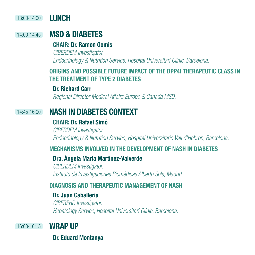#### 13:00-14:00 LUNCH

#### 14:00-14:45 MSD & DIABETES

#### CHAIR: Dr. Ramon Gomis

*CIBERDEM Investigator. Endocrinology & Nutrition Service, Hospital Universitari Clínic, Barcelona.*

## ORIGINS AND POSSIBLE FUTURE IMPACT OF THE DPP4I THERAPEUTIC CLASS IN THE TREATMENT OF TYPE 2 DIABETES

#### Dr. Richard Carr

*Regional Director Medical Affairs Europe & Canada MSD.*

#### 14:45-16:00 NASH IN DIABETES CONTEXT

#### CHAIR: Dr. Rafael Simó

*CIBERDEM Investigator. Endocrinology & Nutrition Service, Hospital Universitario Vall d'Hebron, Barcelona.*

## MECHANISMS INVOLVED IN THE DEVELOPMENT OF NASH IN DIABETES

#### Dra. Ángela María Martínez-Valverde

*CIBERDEM Investigator. Instituto de Investigaciones Biomédicas Alberto Sols, Madrid.*

## DIAGNOSIS AND THERAPEUTIC MANAGEMENT OF NASH

## Dr. Juan Caballeria

*CIBEREHD Investigator. Hepatology Service, Hospital Universitari Clínic, Barcelona.*

16:00-16:15

## **WRAP IIP**

Dr. Eduard Montanya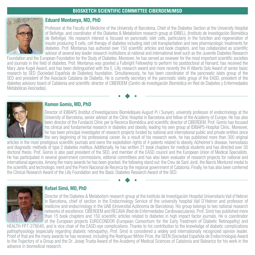#### **BIOSKETCH SCIENTIFIC COMMITTEE CIBERDEM/MSD**



#### Eduard Montanya, MD, PhD

Professor at the Faculty of Medicine of the University of Barcelona, Chief of the Diabetes Section at the University Hospital of Bellvitge, and coordinator of the Diabetes & Metabolism research group at IDIBELL (Instituto de Investigación Biomédica de Bellvitge). His research interest is focused on pancreatic islet cells, particularly in the function and regeneration of insulin producing ß cells, cell therapy of diabetes including islet cell transplantation and new pharmacologic treatments for diabetes. Prof. Montanya has authored over 150 scientific articles and book chapters, and has collaborated as scientific advisor of several key leader research institutions at national and international level such as the Juvenile Diabetes Research

Foundation and the European Foundation for the Study of Diabetes. Moreover, he has served as reviewer for the most important scientific societies and journals in the field of diabetes. Prof. Montanya was granted a Fulbright Fellowship to perform his postdoctoral at Harvard, has received the Mary Jane Kugel Award, and has been distinguished with the E. Lilly research award and more recently the VI Alberto Sols Award of senior basic research by SED (Sociedad Española de Diabetes) foundation. Simultaneously, he has been coordinator of the pancreatic islets group of the SED and president of the Asociació Catalana de Diabetis. He is currently secretary of the pancreatic islets group of the EASD, president of the diabetes advisory board of Catalonia and scientific director of CIBERDEM (Centro de Investigación Biomédica en Red de Diabetes y Enfermedades Metabólicas Asociadas).



#### Ramon Gomis, MD, PhD

Director of IDIBAPS (Institut d'Investigacions Biomèdiques August Pi i Sunyer), university professor of endocrinology at the University of Barcelona, senior advisor at the Clínic Hospital in Barcelona and fellow of the Academy of Europe. He has also been director of the Fundació Clínic per la Recerca Biomèdica and scientific director of CIBERDEM. Prof. Gomis has focused his clinical and fundamental research in diabetes and obesity, leading his own group at IDIBAPS-Hospital Clínic. Moreover, he has been principal investigator of research projects funded by national and international public and private entities since the very beginning of his professional career. As a result of his research work, he has published more than 300 original

articles in the most prestigious scientific journals and owns the exploitation rights of 4 patents related to obesity, Alzheimer's disease, hemostasis and diagnostic methods of type 2 diabetes mellitus. Additionally, he has written 21 book chapters for medical students and has directed over 30 doctoral thesis. Prof. Gomis is also past president of the SED, and member of the EASD council and the European Union of Medical Specialists. He has participated in several government commissions, editorial committees and has also been evaluator of research projects for national and international agencies. Among the many awards he has been granted, the following stand out: the Creu de Sant Jordi, the Narcís Monturiol medal to the scientific and technologic merit and the Premi Nacional de Recerca by the regional government of Catalonia. Finally, he has also been conferred the Clinical Research Award of the Lilly Foundation and the Basic Diabetes Research Award of the SED.



#### Rafael Simó, MD, PhD

Director of the Diabetes & Metabolism research group at the Instituto de Investigación Hospital Universitario Vall d'Hebron in Barcelona, chief of section in the Endocrinology Service of the university hospital Vall D'Hebron and professor of medicine and endocrinology in the UAB (Universitat Autònoma de Barcelona). His group belongs to two national research networks of excellence: CIBERDEM and RECAVA (Red de Enfermedades Cardiovasculares). Prof. Simó has published more than 15 book chapters and 150 scientific articles related to diabetes in high impact factor journals. He is coordinator of the European projects EUROCONDOR (European Consortium for the Early Treatment of Diabetic Retinopathy) and

HEALTH-FP7-278040, and is vice chair of the EASD-eye complications. Thanks to his contribution to the knowledge of diabetic complications pathophysiology (especially regarding diabetic retinopathy), Prof. Simó is considered a widely and internationally recognized opinion leader. Proof of that are the many awards he has received, including the Rodríguez Miñón Prize, the SEEN (Sociedad Española de Endocrinología) Award to the Trajectory of a Group and the Dr. Josep Trueta Award of the Academy of Medical Sciences of Catalonia and Balearics for his work in the advance in biomedical research.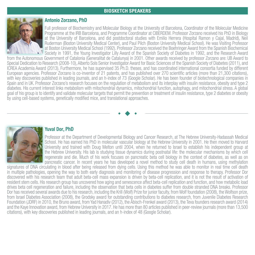#### **BIOSKETCH SPEAKERS**



#### Antonio Zorzano, PhD

Full professor of Biochemistry and Molecular Biology at the University of Barcelona, Coordinator of the Molecular Medicine Programme at the IRB Barcelona, and Programme Coordinator at CIBERDEM. Professor Zorzano received his PhD in Biology at the University of Barcelona, and did postdoctoral studies with Emilio Herrera (Hospital Ramon y Cajal, Madrid), Neil Ruderman (Boston University Medical Center), and Paul Pilch (Boston University Medical School). He was Visiting Professor at Boston University Medical School (1992). Professor Zorzano received the Boehringer Award from the Spanish Biochemical Society in 1991, the Young Investigator Lilly Award of the Spanish Society of Diabetes in 1992, and the Research Award

from the Autonomous Government of Catalonia (Generalitat de Catalunya) in 2001. Other awards received by professor Zorzano are: UB Award to Special Dedication to Research (2008-10), Alberto Sols Senior Investigator Award for Basic Sciences of the Spanish Society of Diabetes (2011), and ICREA Academia Award (2013). Furthermore, he has supervised 35 Ph.D. theses, and has coordinated international consortia funded by different European agencies. Professor Zorzano is co-inventor of 21 patents, and has published over 270 scientific articles (more than 21,300 citations), with key discoveries published in leading journals, and an h-index of 73 (Google Scholar). He has been founder of biotechnological companies in Spain and in UK. Professor Zorzano's research focuses on the regulation of metabolism and its interplay with insulin resistance, obesity and type 2 diabetes. His current interest links metabolism with mitochondrial dynamics, mitochondrial function, autophagy, and mitochondrial stress. A global goal of his group is to identify and validate molecular targets that permit the prevention or treatment of insulin resistance, type 2 diabetes or obesity by using cell-based systems, genetically modified mice, and translational approaches.

#### Yuval Dor, PhD

Professor at the Department of Developmental Biology and Cancer Research, at The Hebrew University-Hadassah Medical School. He has earned his PhD in molecular vascular biology at the Hebrew University in 2001. He then moved to Harvard University and trained with Doug Melton until 2004, when he returned to Israel to establish his independent group at the Hebrew University. His lab is studying tissue dynamics during postnatal life: the molecular mechanisms by which cell regenerate and die. Much of his work focuses on pancreatic beta cell biology in the context of diabetes, as well as on pancreatic cancer. In recent years he has developed a novel method to study cell death in humans, using methylation

signatures of DNA circulating in blood after being released from dying cells. Using this method he was able to monitor in real time cell death in multiple pathologies, opening the way to both early diagnosis and monitoring of disease progression and response to therapy. Professor Dor discovered with his research team that adult beta-cell mass expansion is driven by beta-cell replication, and it is not the result of activation of resident stem cells. His research group has uncovered how aging and senescence affect beta-cell replication and function, and how metabolic load drives beta cell regeneration and failure, including the observation that beta cells in diabetes suffer from double stranded DNA breaks. Professor Dor has received several awards due to his research, including the Krill (Wolf) Prize for junior faculty, from Wolf foundation (2008), the Wolfson prize, from Israel Diabetes Association (2008), the Grodsky award for outstanding contributions to diabetes research, from Juvenile Diabetes Research Foundation (JDRF) in 2010, the Bruno award, from Yad Hanadiv (2012), the Abisch-Frenkel award (2013), the Teva founders research award (2014) and the Kaye Innovation award, from Hebrew University in 2017. He has more than 80 articles published in peer-review journals (more than 13,500 citations), with key discoveries published in leading journals, and an h-index of 48 (Google Scholar).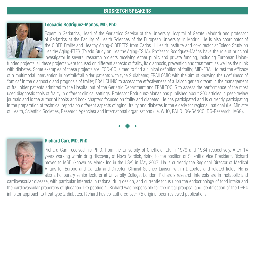

#### Leocadio Rodríguez-Mañas, MD, PhD

Expert in Geriatrics, Head of the Geriatrics Service of the University Hospital of Getafe (Madrid) and professor of Geriatrics at the Faculty of Health Sciences of the European University, in Madrid. He is also coordinator of the CIBER Frailty and Healthy Aging-CIBERFES from Carlos III Health Institute and co-director at Toledo Study on Healthy Aging-ETES (Toledo Study on Healthy Aging-TSHA). Professor Rodríguez-Mañas have the role of principal investigator in several research projects receiving either public and private funding, including European Union-

funded projects, all these projects were focused on different aspects of frailty, its diagnosis, prevention and treatment, as well as their link with diabetes. Some examples of these projects are: FOD-CC, aimed to find a clinical definition of frailty; MID-FRAIL to test the efficacy of a multimodal intervention in prefrail/frail older patients with type 2 diabetes; FRAILOMIC with the aim of knowing the usefulness of "omics" in the diagnostic and prognosis of frailty; FRAILCLINIC to assess the effectiveness of a liaison geriatric team in the management of frail older patients admitted to the Hospital out of the Geriatric Department and FRAILTOOLS to assess the performance of the most used diagnostic tools of frailty in different clinical settings. Professor Rodríguez-Mañas has published about 200 articles in peer-review journals and is the author of books and book chapters focused on frailty and diabetes. He has participated and is currently participating in the preparation of technical reports on different aspects of aging, frailty and diabetes in the elderly for regional, national (i.e. Ministry of Health, Scientific Societies, Research Agencies) and international organizations (i.e. WHO, PAHO, DG-SANCO, DG-Research, IAGG).



#### Richard Carr, MD, PhD

Richard Carr received his Ph.D. from the University of Sheffield; UK in 1979 and 1984 respectively. After 14 years working within drug discovery at Novo Nordisk, rising to the position of Scientific Vice President, Richard moved to MSD (known as Merck Inc in the USA) in May 2007. He is currently the Regional Director of Medical Affairs for Europe and Canada and Director, Clinical Science Liaison within Diabetes and related fields. He is also a honourary senior lecturer at University College, London. Richard's research interests are in metabolic and

cardiovascular disease, with particular interests in rational drug design, and currently focus upon the endocrinology of food intake and the cardiovascular properties of glucagon-like peptide 1. Richard was responsible for the initial proppsal and identification of the DPP4 inhibitor approach to treat type 2 diabetes. Richard has co-authored over 75 original peer-reviewed publications.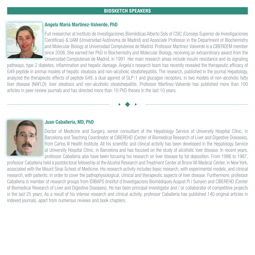#### **BIOSKETCH SPEAKERS**



#### Angela María Martínez-Valverde, PhD

Full researcher at Instituto de Investigaciones Biomédicas Alberto Sols of CSIC (Consejo Superior de Investigaciones Científicas) & UAM (Universidad Autónoma de Madrid) and Associate Professor in the Department of Biochemistry and Molecular Biology at Universidad Complutense de Madrid. Professor Martínez-Valverde is a CIBERDEM member since 2008. She earned her PhD in Biochemistry and Molecular Biology, receiving an extraordinary award from the Universidad Complutense de Madrid, in 1991. Her main research areas include insulin resistance and its signaling

pathways, type 2 diabetes, inflammation and hepatic damage. Ángela's research team has recently revealed the therapeutic efficacy of G49 peptide in animal models of hepatic steatosis and non-alcoholic steatohepatitis. The research, published in the journal Hepatology, analyzed the therapeutic effects of peptide G49, a dual agonist of GLP-1 and glucagon receptors, in two models of non-alcoholic fatty liver disease (NAFLD): liver steatosis and non-alcoholic steatohepatitis. Professor Martínez-Valverde has published more than 100 articles in peer-review journals and has directed more than 10 PhD theses in the last 10 years.



#### Juan Caballeria, MD, PhD

Doctor of Medicine and Surgery, senior consultant of the Hepatology Service of University Hospital Clínic, in Barcelona and Teaching Coordinator at CIBEREHD (Center of Biomedical Research of Liver and Digestive Diseases), from Carlos III Health Institute. All his scientific and clinical activity has been developed in the Hepatology Service at University Hospital Clínic, in Barcelona and has focused on the study of alcoholic liver disease. In recent years, professor Caballeria also have been focusing his research on liver disease by fat deposition. From 1986 to 1987,

professor Caballeria held a postdoctoral fellowship at the Alcohol Research and Treatment Center at Bronx VA Medical Center, in New York, associated with the Mount Sinai School of Medicine. His research activity includes basic research, with experimental models, and clinical research, with patients, in order to cover the pathophysiological, clinical and therapeutic aspects of liver disease. Furthermore, professor Caballeria is member of research groups from IDIBAPS (Institut d'Investigacions Biomèdiques August Pi i Sunyer) and CIBEREHD (Center of Biomedical Research of Liver and Digestive Diseases). He has been principal investigator and / or collaborator of competitive projects in the last 25 years. As a result of his intense research and clinical activity, professor Caballeria has published 140 original articles in indexed journals, apart from numerous reviews and book chapters.